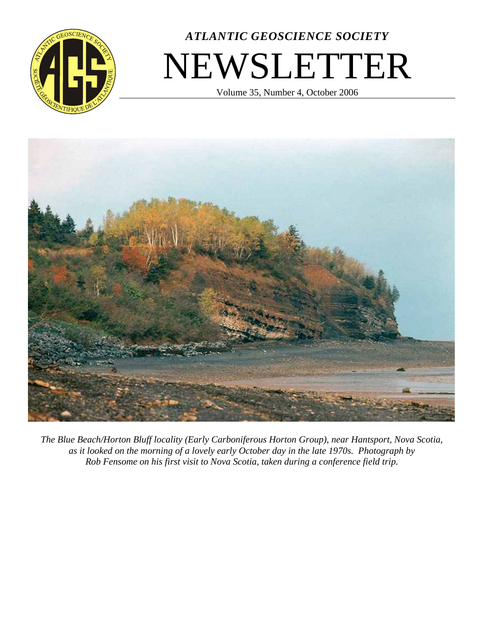

# *ATLANTIC GEOSCIENCE SOCIETY* NEWSLETTER

Volume 35, Number 4, October 2006



*The Blue Beach/Horton Bluff locality (Early Carboniferous Horton Group), near Hantsport, Nova Scotia, as it looked on the morning of a lovely early October day in the late 1970s. Photograph by Rob Fensome on his first visit to Nova Scotia, taken during a conference field trip.*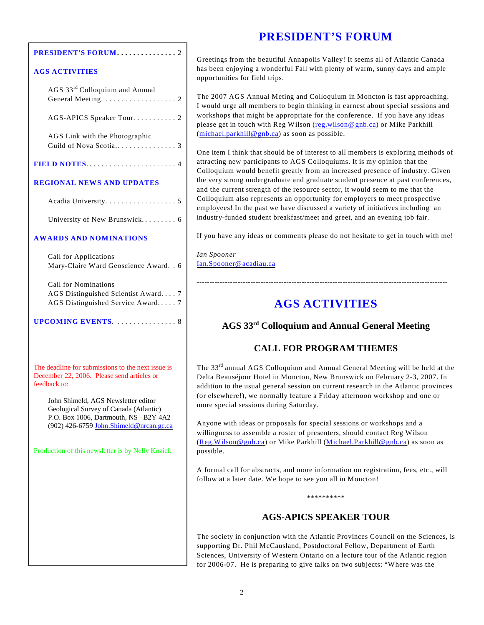# **PRESIDENT'S FORUM**

| <b>PRESIDENT'S FORUM. 2</b> |  |
|-----------------------------|--|
|                             |  |

#### **AGS ACTIVITIES**

| AGS 33 <sup>rd</sup> Colloquium and Annual             |  |  |
|--------------------------------------------------------|--|--|
| General Meeting. $\dots \dots \dots \dots \dots \dots$ |  |  |

AGS-APICS Speaker Tour. . . . . . . . . . 2

AGS Link with the Photographic Guild of Nova Scotia.. . . . . . . . . . . . . . . 3

#### **REGIONAL NEWS AND UPDATES**

Acadia University. . . . . . . . . . . . . . . . . 5

University of New Brunswick. . . . . . . . . 6

#### **AWARDS AND NOMINATIONS**

Call for Applications Mary-Claire Ward Geoscience Award. . 6

Call for Nominations AGS Distinguished Scientist Award. . . . 7 AGS Distinguished Service Award. . . . . 7

**UPCOMING EVENTS**. .... .... .... ... 8

The deadline for submissions to the next issue is December 22, 2006. Please send articles or feedback to:

John Shimeld, AGS Newsletter editor Geological Survey of Canada (Atlantic) P.O. Box 1006, Dartmouth, NS B2Y 4A2 (902) 426-6759 [John.Shimeld@nrcan.gc.ca](mailto:John.Shimeld@nrcan.gc.ca)

Production of this newsletter is by Nelly Koziel.

#### Greetings from the beautiful Annapolis Valley! It seems all of Atlantic Canada has been enjoying a wonderful Fall with plenty of warm, sunny days and ample opportunities for field trips.

The 2007 AGS Annual Meting and Colloquium in Moncton is fast approaching. I would urge all members to begin thinking in earnest about special sessions and workshops that might be appropriate for the conference. If you have any ideas please get in touch with Reg Wilson ([reg.wilson@gnb.ca](mailto:)) or Mike Parkhill ([michael.parkhill@gnb.ca](mailto:)) as soon as possible.

One item I think that should be of interest to all members is exploring methods of attracting new participants to AGS Colloquiums. It is my opinion that the Colloquium would benefit greatly from an increased presence of industry. Given the very strong undergraduate and graduate student presence at past conferences, and the current strength of the resource sector, it would seem to me that the Colloquium also represents an opportunity for employers to meet prospective employees! In the past we have discussed a variety of initiatives including an industry-funded student breakfast/meet and greet, and an evening job fair.

If you have any ideas or comments please do not hesitate to get in touch with me!

*Ian Spooner* [Ian.Spooner@acadiau.ca](mailto:ian.spooner@acadiau.ca)

# **AGS ACTIVITIES**

--------------------------------------------------------------------------------------------------

## AGS 33<sup>rd</sup> Colloquium and Annual General Meeting

## **CALL FOR PROGRAM THEMES**

The  $33<sup>rd</sup>$  annual AGS Colloquium and Annual General Meeting will be held at the Delta Beauséjour Hotel in Moncton, New Brunswick on February 2-3, 2007. In addition to the usual general session on current research in the Atlantic provinces (or elsewhere!), we normally feature a Friday afternoon workshop and one or more special sessions during Saturday.

Anyone with ideas or proposals for special sessions or workshops and a willingness to assemble a roster of presenters, should contact Reg Wilson ([Reg.Wilson@gnb.ca](mailto:reg.wilson@gnb.ca)) or Mike Parkhill (Michael.Parkhill@gnb.ca) as soon as possible.

A formal call for abstracts, and more information on registration, fees, etc., will follow at a later date. We hope to see you all in Moncton!

\*\*\*\*\*\*\*\*\*\*

## **AGS-APICS SPEAKER TOUR**

The society in conjunction with the Atlantic Provinces Council on the Sciences, is supporting Dr. Phil McCausland, Postdoctoral Fellow, Department of Earth Sciences, University of Western Ontario on a lecture tour of the Atlantic region for 2006-07. He is preparing to give talks on two subjects: "Where was the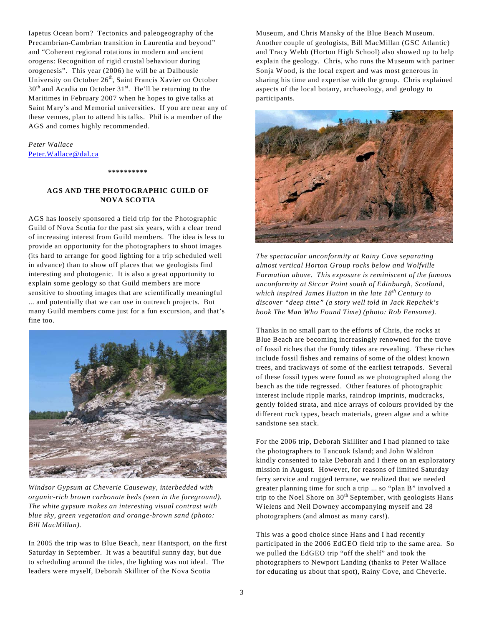Iapetus Ocean born? Tectonics and paleogeography of the Precambrian-Cambrian transition in Laurentia and beyond" and "Coherent regional rotations in modern and ancient orogens: Recognition of rigid crustal behaviour during orogenesis". This year (2006) he will be at Dalhousie University on October 26<sup>th</sup>, Saint Francis Xavier on October  $30<sup>th</sup>$  and Acadia on October  $31<sup>st</sup>$ . He'll be returning to the Maritimes in February 2007 when he hopes to give talks at Saint Mary's and Memorial universities. If you are near any of these venues, plan to attend his talks. Phil is a member of the AGS and comes highly recommended.

*Peter Wallace* [Peter.Wallace@dal.ca](mailto:peter.wallace@dal.ca)

#### **\*\*\*\*\*\*\*\*\*\***

#### **AGS AND THE PHOTOGRAPHIC GUILD OF NOVA SCOTIA**

AGS has loosely sponsored a field trip for the Photographic Guild of Nova Scotia for the past six years, with a clear trend of increasing interest from Guild members. The idea is less to provide an opportunity for the photographers to shoot images (its hard to arrange for good lighting for a trip scheduled well in advance) than to show off places that we geologists find interesting and photogenic. It is also a great opportunity to explain some geology so that Guild members are more sensitive to shooting images that are scientifically meaningful ... and potentially that we can use in outreach projects. But many Guild members come just for a fun excursion, and that's fine too.



*Windsor Gypsum at Cheverie Causeway, interbedded with organic-rich brown carbonate beds (seen in the foreground). The white gypsum makes an interesting visual contrast with blue sky, green vegetation and orange-brown sand (photo: Bill MacMillan).*

In 2005 the trip was to Blue Beach, near Hantsport, on the first Saturday in September. It was a beautiful sunny day, but due to scheduling around the tides, the lighting was not ideal. The leaders were myself, Deborah Skilliter of the Nova Scotia

Museum, and Chris Mansky of the Blue Beach Museum. Another couple of geologists, Bill MacMillan (GSC Atlantic) and Tracy Webb (Horton High School) also showed up to help explain the geology. Chris, who runs the Museum with partner Sonja Wood, is the local expert and was most generous in sharing his time and expertise with the group. Chris explained aspects of the local botany, archaeology, and geology to participants.



*The spectacular unconformity at Rainy Cove separating almost vertical Horton Group rocks below and Wolfville Formation above. This exposure is reminiscent of the famous unconformity at Siccar Point south of Edinburgh, Scotland, which inspired James Hutton in the late 18<sup>th</sup> Century to discover "deep time" (a story well told in Jack Repchek's book The Man Who Found Time) (photo: Rob Fensome).*

Thanks in no small part to the efforts of Chris, the rocks at Blue Beach are becoming increasingly renowned for the trove of fossil riches that the Fundy tides are revealing. These riches include fossil fishes and remains of some of the oldest known trees, and trackways of some of the earliest tetrapods. Several of these fossil types were found as we photographed along the beach as the tide regressed. Other features of photographic interest include ripple marks, raindrop imprints, mudcracks, gently folded strata, and nice arrays of colours provided by the different rock types, beach materials, green algae and a white sandstone sea stack.

For the 2006 trip, Deborah Skilliter and I had planned to take the photographers to Tancook Island; and John Waldron kindly consented to take Deborah and I there on an exploratory mission in August. However, for reasons of limited Saturday ferry service and rugged terrane, we realized that we needed greater planning time for such a trip ... so "plan B" involved a trip to the Noel Shore on  $30<sup>th</sup>$  September, with geologists Hans Wielens and Neil Downey accompanying myself and 28 photographers (and almost as many cars!).

This was a good choice since Hans and I had recently participated in the 2006 EdGEO field trip to the same area. So we pulled the EdGEO trip "off the shelf" and took the photographers to Newport Landing (thanks to Peter Wallace for educating us about that spot), Rainy Cove, and Cheverie.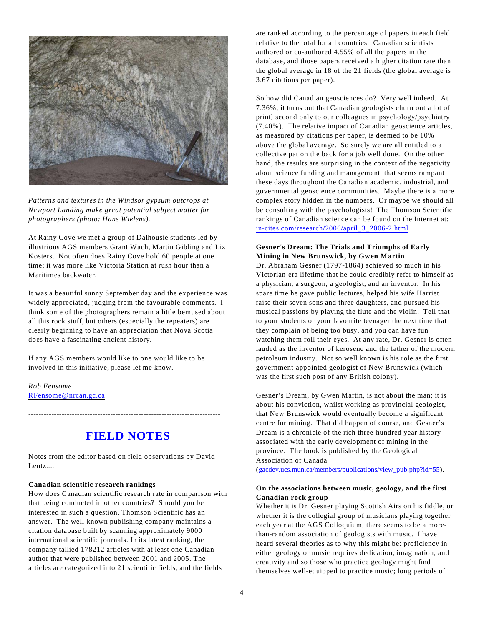

*Patterns and textures in the Windsor gypsum outcrops at Newport Landing make great potential subject matter for photographers (photo: Hans Wielens).*

At Rainy Cove we met a group of Dalhousie students led by illustrious AGS members Grant Wach, Martin Gibling and Liz Kosters. Not often does Rainy Cove hold 60 people at one time; it was more like Victoria Station at rush hour than a Maritimes backwater.

It was a beautiful sunny September day and the experience was widely appreciated, judging from the favourable comments. I think some of the photographers remain a little bemused about all this rock stuff, but others (especially the repeaters) are clearly beginning to have an appreciation that Nova Scotia does have a fascinating ancient history.

If any AGS members would like to one would like to be involved in this initiative, please let me know.

*Rob Fensome* [RFensome@nrcan.gc.ca](mailto:rfensome@nrcan.gc.ca)

# **FIELD NOTES**

---------------------------------------------------------------------------

Notes from the editor based on field observations by David Lentz....

#### **Canadian scientific research rankings**

How does Canadian scientific research rate in comparison with that being conducted in other countries? Should you be interested in such a question, Thomson Scientific has an answer. The well-known publishing company maintains a citation database built by scanning approximately 9000 international scientific journals. In its latest ranking, the company tallied 178212 articles with at least one Canadian author that were published between 2001 and 2005. The articles are categorized into 21 scientific fields, and the fields

are ranked according to the percentage of papers in each field relative to the total for all countries. Canadian scientists authored or co-authored 4.55% of all the papers in the database, and those papers received a higher citation rate than the global average in 18 of the 21 fields (the global average is 3.67 citations per paper).

So how did Canadian geosciences do? Very well indeed. At 7.36%, it turns out that Canadian geologists churn out a lot of print) second only to our colleagues in psychology/psychiatry (7.40%). The relative impact of Canadian geoscience articles, as measured by citations per paper, is deemed to be 10% above the global average. So surely we are all entitled to a collective pat on the back for a job well done. On the other hand, the results are surprising in the context of the negativity about science funding and management that seems rampant these days throughout the Canadian academic, industrial, and governmental geoscience communities. Maybe there is a more complex story hidden in the numbers. Or maybe we should all be consulting with the psychologists! The Thomson Scientific rankings of Canadian science can be found on the Internet at: in-cites.com/research/2006/april\_3\_2006-2.html

#### **Gesner's Dream: The Trials and Triumphs of Early Mining in New Brunswick, by Gwen Martin**

Dr. Abraham Gesner (1797-1864) achieved so much in his Victorian-era lifetime that he could credibly refer to himself as a physician, a surgeon, a geologist, and an inventor. In his spare time he gave public lectures, helped his wife Harriet raise their seven sons and three daughters, and pursued his musical passions by playing the flute and the violin. Tell that to your students or your favourite teenager the next time that they complain of being too busy, and you can have fun watching them roll their eyes. At any rate, Dr. Gesner is often lauded as the inventor of kerosene and the father of the modern petroleum industry. Not so well known is his role as the first government-appointed geologist of New Brunswick (which was the first such post of any British colony).

Gesner's Dream, by Gwen Martin, is not about the man; it is about his conviction, whilst working as provincial geologist, that New Brunswick would eventually become a significant centre for mining. That did happen of course, and Gesner's Dream is a chronicle of the rich three-hundred year history associated with the early development of mining in the province. The book is published by the Geological Association of Canada

(gacdev.ucs.mun.ca/members/publications/view\_pub.php?id=55).

#### **On the associations between music, geology, and the first Canadian rock group**

Whether it is Dr. Gesner playing Scottish Airs on his fiddle, or whether it is the collegial group of musicians playing together each year at the AGS Colloquium, there seems to be a morethan-random association of geologists with music. I have heard several theories as to why this might be: proficiency in either geology or music requires dedication, imagination, and creativity and so those who practice geology might find themselves well-equipped to practice music; long periods of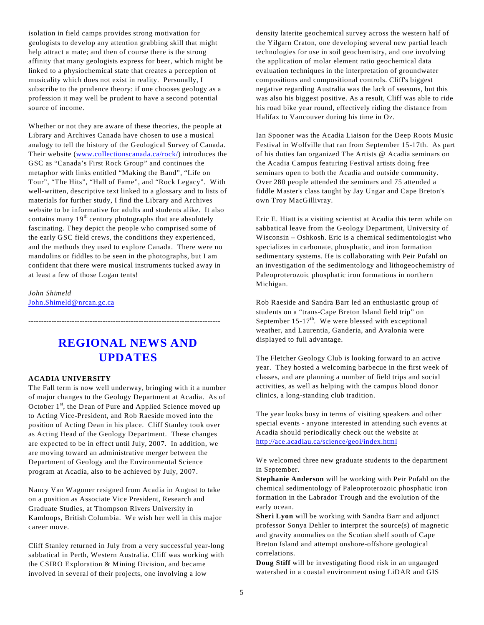isolation in field camps provides strong motivation for geologists to develop any attention grabbing skill that might help attract a mate; and then of course there is the strong affinity that many geologists express for beer, which might be linked to a physiochemical state that creates a perception of musicality which does not exist in reality. Personally, I subscribe to the prudence theory: if one chooses geology as a profession it may well be prudent to have a second potential source of income.

Whether or not they are aware of these theories, the people at Library and Archives Canada have chosen to use a musical analogy to tell the history of the Geological Survey of Canada. Their website [\(www.collectionscanada.ca/rock/](http://www.collectionscanada.ca/rock/))) introduces the GSC as "Canada's First Rock Group" and continues the metaphor with links entitled "Making the Band", "Life on Tour", "The Hits", "Hall of Fame", and "Rock Legacy". With well-written, descriptive text linked to a glossary and to lists of materials for further study, I find the Library and Archives website to be informative for adults and students alike. It also contains many  $19<sup>th</sup>$  century photographs that are absolutely fascinating. They depict the people who comprised some of the early GSC field crews, the conditions they experienced, and the methods they used to explore Canada. There were no mandolins or fiddles to be seen in the photographs, but I am confident that there were musical instruments tucked away in at least a few of those Logan tents!

*John Shimeld* [John.Shimeld@nrcan.gc.ca](mailto:John.Shimeld@nrcan.gc.ca)

# **REGIONAL NEWS AND UPDATES**

---------------------------------------------------------------------------

#### **ACADIA UNIVERSITY**

The Fall term is now well underway, bringing with it a number of major changes to the Geology Department at Acadia. As of October  $1<sup>st</sup>$ , the Dean of Pure and Applied Science moved up to Acting Vice-President, and Rob Raeside moved into the position of Acting Dean in his place. Cliff Stanley took over as Acting Head of the Geology Department. These changes are expected to be in effect until July, 2007. In addition, we are moving toward an administrative merger between the Department of Geology and the Environmental Science program at Acadia, also to be achieved by July, 2007.

Nancy Van Wagoner resigned from Acadia in August to take on a position as Associate Vice President, Research and Graduate Studies, at Thompson Rivers University in Kamloops, British Columbia. We wish her well in this major career move.

Cliff Stanley returned in July from a very successful year-long sabbatical in Perth, Western Australia. Cliff was working with the CSIRO Exploration & Mining Division, and became involved in several of their projects, one involving a low

density laterite geochemical survey across the western half of the Yilgarn Craton, one developing several new partial leach technologies for use in soil geochemistry, and one involving the application of molar element ratio geochemical data evaluation techniques in the interpretation of groundwater compositions and compositional controls. Cliff's biggest negative regarding Australia was the lack of seasons, but this was also his biggest positive. As a result, Cliff was able to ride his road bike year round, effectively riding the distance from Halifax to Vancouver during his time in Oz.

Ian Spooner was the Acadia Liaison for the Deep Roots Music Festival in Wolfville that ran from September 15-17th. As part of his duties Ian organized The Artists @ Acadia seminars on the Acadia Campus featuring Festival artists doing free seminars open to both the Acadia and outside community. Over 280 people attended the seminars and 75 attended a fiddle Master's class taught by Jay Ungar and Cape Breton's own Troy MacGillivray.

Eric E. Hiatt is a visiting scientist at Acadia this term while on sabbatical leave from the Geology Department, University of Wisconsin – Oshkosh. Eric is a chemical sedimentologist who specializes in carbonate, phosphatic, and iron formation sedimentary systems. He is collaborating with Peir Pufahl on an investigation of the sedimentology and lithogeochemistry of Paleoproterozoic phosphatic iron formations in northern Michigan.

Rob Raeside and Sandra Barr led an enthusiastic group of students on a "trans-Cape Breton Island field trip" on September  $15-17$ <sup>th</sup>. We were blessed with exceptional weather, and Laurentia, Ganderia, and Avalonia were displayed to full advantage.

The Fletcher Geology Club is looking forward to an active year. They hosted a welcoming barbecue in the first week of classes, and are planning a number of field trips and social activities, as well as helping with the campus blood donor clinics, a long-standing club tradition.

The year looks busy in terms of visiting speakers and other special events - anyone interested in attending such events at Acadia should periodically check out the website at <http://ace.acadiau.ca/science/geol/index.html>

We welcomed three new graduate students to the department in September.

**Stephanie Anderson** will be working with Peir Pufahl on the chemical sedimentology of Paleoproterozoic phosphatic iron formation in the Labrador Trough and the evolution of the early ocean.

**Sheri Lyon** will be working with Sandra Barr and adjunct professor Sonya Dehler to interpret the source(s) of magnetic and gravity anomalies on the Scotian shelf south of Cape Breton Island and attempt onshore-offshore geological correlations.

**Doug Stiff** will be investigating flood risk in an ungauged watershed in a coastal environment using LiDAR and GIS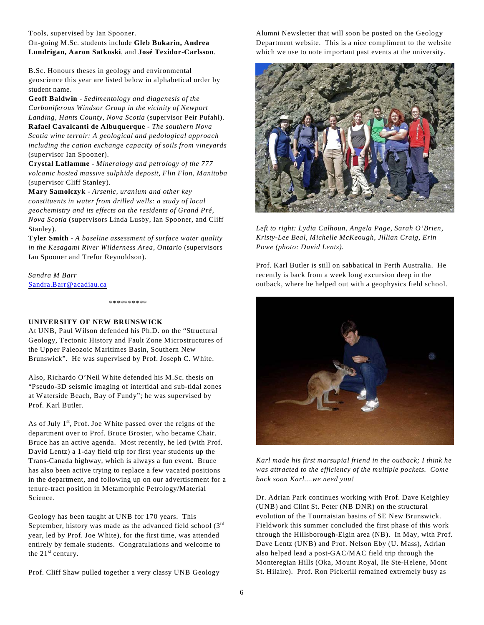Tools, supervised by Ian Spooner.

#### On-going M.Sc. students include **Gleb Bukarin, Andrea Lundrigan, Aaron Satkoski**, and **José Texidor-Carlsson**.

B.Sc. Honours theses in geology and environmental geoscience this year are listed below in alphabetical order by student name.

**Geoff Baldwin** - *Sedimentology and diagenesis of the Carboniferous Windsor Group in the vicinity of Newport Landing, Hants County, Nova Scotia* (supervisor Peir Pufahl). **Rafael Cavalcanti de Albuquerque -** *The southern Nova Scotia wine terroir: A geological and pedological approach*

*including the cation exchange capacity of soils from vineyards* (supervisor Ian Spooner).

**Crystal Laflamme** - *Mineralogy and petrology of the 777 volcanic hosted massive sulphide deposit, Flin Flon, Manitoba* (supervisor Cliff Stanley).

**Mary Samolczyk** - *Arsenic, uranium and other key constituents in water from drilled wells: a study of local geochemistry and its effects on the residents of Grand Pré, Nova Scotia* (supervisors Linda Lusby, Ian Spooner, and Cliff Stanley).

**Tyler Smith** - *A baseline assessment of surface water quality in the Kesagami River Wilderness Area, Ontario* (supervisors Ian Spooner and Trefor Reynoldson).

*Sandra M Barr* [Sandra.Barr@acadiau.ca](mailto:sandra.barr@acadiau.ca)

\*\*\*\*\*\*\*\*\*\*

#### **UNIVERSITY OF NEW BRUNSWICK**

At UNB, Paul Wilson defended his Ph.D. on the "Structural Geology, Tectonic History and Fault Zone Microstructures of the Upper Paleozoic Maritimes Basin, Southern New Brunswick". He was supervised by Prof. Joseph C. White.

Also, Richardo O'Neil White defended his M.Sc. thesis on "Pseudo-3D seismic imaging of intertidal and sub-tidal zones at Waterside Beach, Bay of Fundy"; he was supervised by Prof. Karl Butler.

As of July  $1<sup>st</sup>$ , Prof. Joe White passed over the reigns of the department over to Prof. Bruce Broster, who became Chair. Bruce has an active agenda. Most recently, he led (with Prof. David Lentz) a 1-day field trip for first year students up the Trans-Canada highway, which is always a fun event. Bruce has also been active trying to replace a few vacated positions in the department, and following up on our advertisement for a tenure-tract position in Metamorphic Petrology/Material Science.

Geology has been taught at UNB for 170 years. This September, history was made as the advanced field school  $(3<sup>rd</sup>$ year, led by Prof. Joe White), for the first time, was attended entirely by female students. Congratulations and welcome to the  $21<sup>st</sup>$  century.

Prof. Cliff Shaw pulled together a very classy UNB Geology

Alumni Newsletter that will soon be posted on the Geology Department website. This is a nice compliment to the website which we use to note important past events at the university.



*Left to right: Lydia Calhoun, Angela Page, Sarah O'Brien, Kristy-Lee Beal, Michelle McKeough, Jillian Craig, Erin Powe (photo: David Lentz).*

Prof. Karl Butler is still on sabbatical in Perth Australia. He recently is back from a week long excursion deep in the outback, where he helped out with a geophysics field school.



*Karl made his first marsupial friend in the outback; I think he was attracted to the efficiency of the multiple pockets. Come back soon Karl....we need you!*

Dr. Adrian Park continues working with Prof. Dave Keighley (UNB) and Clint St. Peter (NB DNR) on the structural evolution of the Tournaisian basins of SE New Brunswick. Fieldwork this summer concluded the first phase of this work through the Hillsborough-Elgin area (NB). In May, with Prof. Dave Lentz (UNB) and Prof. Nelson Eby (U. Mass), Adrian also helped lead a post-GAC/MAC field trip through the Monteregian Hills (Oka, Mount Royal, Ile Ste-Helene, Mont St. Hilaire). Prof. Ron Pickerill remained extremely busy as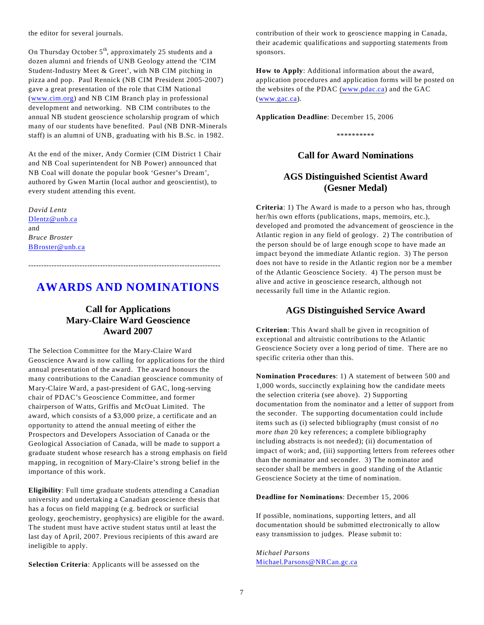the editor for several journals.

On Thursday October  $5<sup>th</sup>$ , approximately 25 students and a dozen alumni and friends of UNB Geology attend the 'CIM Student-Industry Meet & Greet', with NB CIM pitching in pizza and pop. Paul Rennick (NB CIM President 2005-2007) gave a great presentation of the role that CIM National ([www.cim.org](http://www.cim.org)&)) and NB CIM Branch play in professional development and networking. NB CIM contributes to the annual NB student geoscience scholarship program of which many of our students have benefited. Paul (NB DNR-Minerals staff) is an alumni of UNB, graduating with his B.Sc. in 1982.

At the end of the mixer, Andy Cormier (CIM District 1 Chair and NB Coal superintendent for NB Power) announced that NB Coal will donate the popular book 'Gesner's Dream', authored by Gwen Martin (local author and geoscientist), to every student attending this event.

*David Lentz* [Dlentz@unb.ca](mailto:Dlentz@unb.ca) and *Bruce Broster* [BBroster@unb.ca](mailto:bbroster@unb.ca)

# **AWARDS AND NOMINATIONS**

---------------------------------------------------------------------------

## **Call for Applications Mary-Claire Ward Geoscience Award 2007**

The Selection Committee for the Mary-Claire Ward Geoscience Award is now calling for applications for the third annual presentation of the award. The award honours the many contributions to the Canadian geoscience community of Mary-Claire Ward, a past-president of GAC, long-serving chair of PDAC's Geoscience Committee, and former chairperson of Watts, Griffis and McOuat Limited. The award, which consists of a \$3,000 prize, a certificate and an opportunity to attend the annual meeting of either the Prospectors and Developers Association of Canada or the Geological Association of Canada, will be made to support a graduate student whose research has a strong emphasis on field mapping, in recognition of Mary-Claire's strong belief in the importance of this work.

**Eligibility**: Full time graduate students attending a Canadian university and undertaking a Canadian geoscience thesis that has a focus on field mapping (e.g. bedrock or surficial geology, geochemistry, geophysics) are eligible for the award. The student must have active student status until at least the last day of April, 2007. Previous recipients of this award are ineligible to apply.

**Selection Criteria**: Applicants will be assessed on the

contribution of their work to geoscience mapping in Canada, their academic qualifications and supporting statements from sponsors.

**How to Apply**: Additional information about the award, application procedures and application forms will be posted on the websites of the PDAC ([www.pdac.ca](http://www.pdac.ca)) and the GAC ([www.gac.ca](http://www.gac.ca)).

**Application Deadline**: December 15, 2006

\*\*\*\*\*\*\*\*\*\*

### **Call for Award Nominations**

## **AGS Distinguished Scientist Award (Gesner Medal)**

**Criteria**: 1) The Award is made to a person who has, through her/his own efforts (publications, maps, memoirs, etc.), developed and promoted the advancement of geoscience in the Atlantic region in any field of geology. 2) The contribution of the person should be of large enough scope to have made an impact beyond the immediate Atlantic region. 3) The person does not have to reside in the Atlantic region nor be a member of the Atlantic Geoscience Society. 4) The person must be alive and active in geoscience research, although not necessarily full time in the Atlantic region.

#### **AGS Distinguished Service Award**

**Criterion**: This Award shall be given in recognition of exceptional and altruistic contributions to the Atlantic Geoscience Society over a long period of time. There are no specific criteria other than this.

**Nomination Procedures**: 1) A statement of between 500 and 1,000 words, succinctly explaining how the candidate meets the selection criteria (see above). 2) Supporting documentation from the nominator and a letter of support from the seconder. The supporting documentation could include items such as (i) selected bibliography (must consist of *no more than* 20 key references; a complete bibliography including abstracts is not needed); (ii) documentation of impact of work; and, (iii) supporting letters from referees other than the nominator and seconder. 3) The nominator and seconder shall be members in good standing of the Atlantic Geoscience Society at the time of nomination.

#### **Deadline for Nominations**: December 15, 2006

If possible, nominations, supporting letters, and all documentation should be submitted electronically to allow easy transmission to judges. Please submit to:

*Michael Parsons* [Michael.Parsons@NRCan.gc.ca](mailto:Michael.Parsons@NRCan.gc.ca)